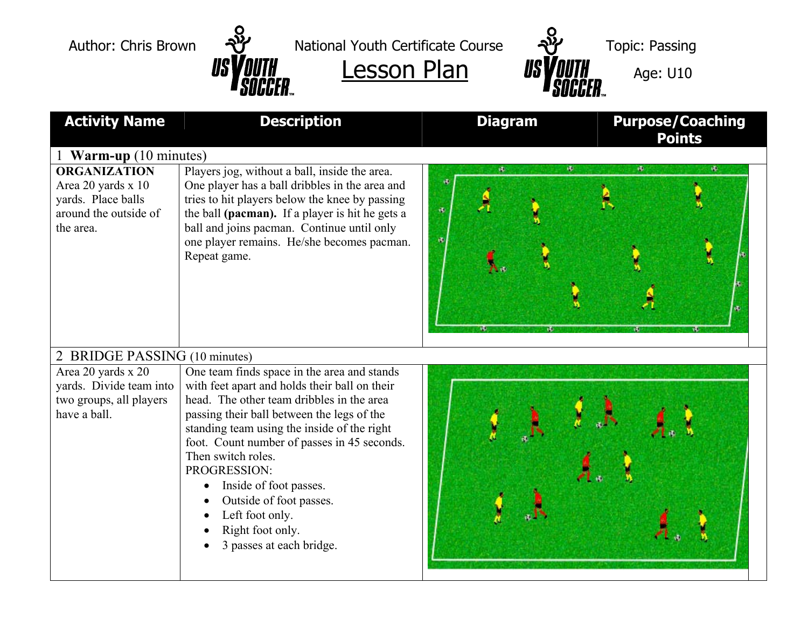

Author: Chris Brown  $\frac{1}{2}$  National Youth Certificate Course  $\frac{1}{2}$  Topic: Passing





| <b>Activity Name</b>                                                                                  | <b>Description</b>                                                                                                                                                                                                                                                                                                                                                                                                                                  | <b>Diagram</b> | <b>Purpose/Coaching</b><br><b>Points</b> |  |
|-------------------------------------------------------------------------------------------------------|-----------------------------------------------------------------------------------------------------------------------------------------------------------------------------------------------------------------------------------------------------------------------------------------------------------------------------------------------------------------------------------------------------------------------------------------------------|----------------|------------------------------------------|--|
| 1 <b>Warm-up</b> (10 minutes)                                                                         |                                                                                                                                                                                                                                                                                                                                                                                                                                                     |                |                                          |  |
| <b>ORGANIZATION</b><br>Area 20 yards x 10<br>yards. Place balls<br>around the outside of<br>the area. | Players jog, without a ball, inside the area.<br>One player has a ball dribbles in the area and<br>tries to hit players below the knee by passing<br>the ball (pacman). If a player is hit he gets a<br>ball and joins pacman. Continue until only<br>one player remains. He/she becomes pacman.<br>Repeat game.                                                                                                                                    | ø.<br>哂<br>螺   | $\sigma$<br>a.                           |  |
| 2 BRIDGE PASSING (10 minutes)                                                                         |                                                                                                                                                                                                                                                                                                                                                                                                                                                     |                |                                          |  |
| Area 20 yards x 20<br>yards. Divide team into<br>two groups, all players<br>have a ball.              | One team finds space in the area and stands<br>with feet apart and holds their ball on their<br>head. The other team dribbles in the area<br>passing their ball between the legs of the<br>standing team using the inside of the right<br>foot. Count number of passes in 45 seconds.<br>Then switch roles.<br>PROGRESSION:<br>Inside of foot passes.<br>Outside of foot passes.<br>Left foot only.<br>Right foot only.<br>3 passes at each bridge. |                |                                          |  |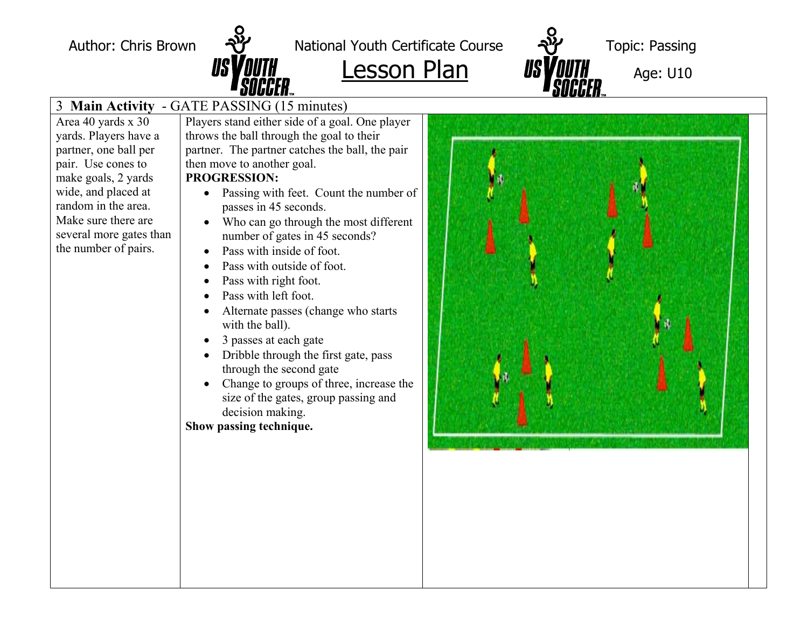

Author: Chris Brown  $\frac{1}{2}$  National Youth Certificate Course  $\frac{1}{2}$  Topic: Passing



## 3 **Main Activity** - GATE PASSING (15 minutes)

Area 40 yards x 30 yards. Players have a partner, one ball per pair. Use cones to make goals, 2 yards wide, and placed at random in the area. Make sure there are several more gates than the number of pairs.

Players stand either side of a goal. One player throws the ball through the goal to their partner. The partner catches the ball, the pair then move to another goal.

## **PROGRESSION:**

- Passing with feet. Count the number of passes in 45 seconds.
- Who can go through the most different number of gates in 45 seconds?
- Pass with inside of foot.
- Pass with outside of foot.
- Pass with right foot.
- Pass with left foot.
- Alternate passes (change who starts with the ball).
- 3 passes at each gate
- Dribble through the first gate, pass through the second gate
- Change to groups of three, increase the size of the gates, group passing and decision making.

**Show passing technique.**